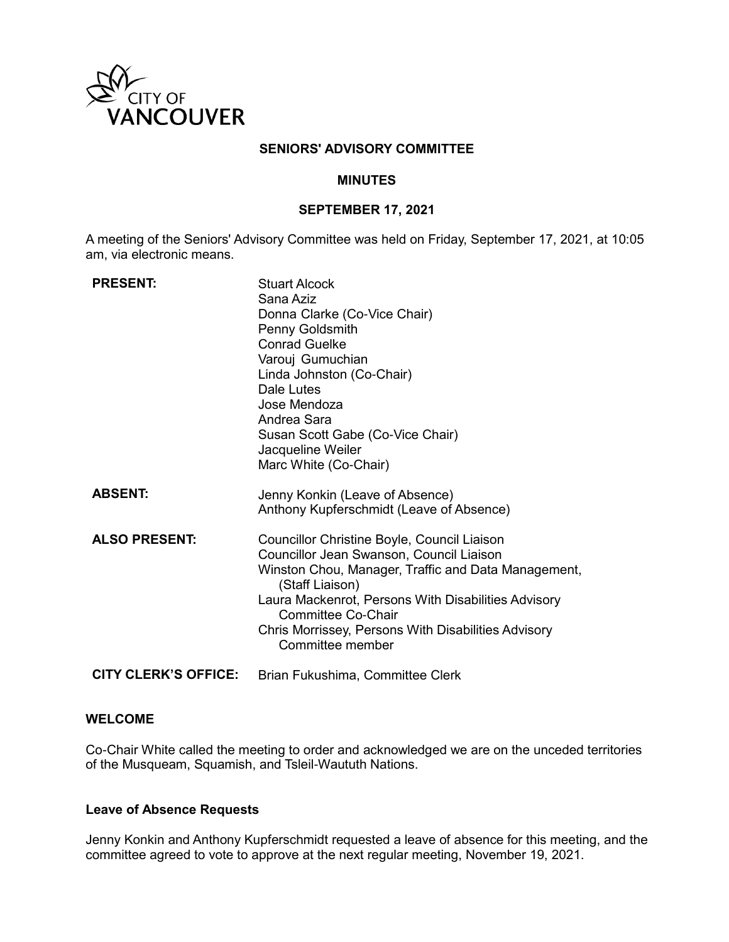

### **SENIORS' ADVISORY COMMITTEE**

#### **MINUTES**

### **SEPTEMBER 17, 2021**

A meeting of the Seniors' Advisory Committee was held on Friday, September 17, 2021, at 10:05 am, via electronic means.

| <b>PRESENT:</b>             | <b>Stuart Alcock</b><br>Sana Aziz<br>Donna Clarke (Co-Vice Chair)<br>Penny Goldsmith<br><b>Conrad Guelke</b><br>Varouj Gumuchian<br>Linda Johnston (Co-Chair)<br>Dale Lutes<br>Jose Mendoza<br>Andrea Sara<br>Susan Scott Gabe (Co-Vice Chair)<br>Jacqueline Weiler<br>Marc White (Co-Chair)                                     |
|-----------------------------|----------------------------------------------------------------------------------------------------------------------------------------------------------------------------------------------------------------------------------------------------------------------------------------------------------------------------------|
| <b>ABSENT:</b>              | Jenny Konkin (Leave of Absence)<br>Anthony Kupferschmidt (Leave of Absence)                                                                                                                                                                                                                                                      |
| <b>ALSO PRESENT:</b>        | Councillor Christine Boyle, Council Liaison<br>Councillor Jean Swanson, Council Liaison<br>Winston Chou, Manager, Traffic and Data Management,<br>(Staff Liaison)<br>Laura Mackenrot, Persons With Disabilities Advisory<br><b>Committee Co-Chair</b><br>Chris Morrissey, Persons With Disabilities Advisory<br>Committee member |
| <b>CITY CLERK'S OFFICE:</b> | Brian Fukushima, Committee Clerk                                                                                                                                                                                                                                                                                                 |

### **WELCOME**

Co-Chair White called the meeting to order and acknowledged we are on the unceded territories of the Musqueam, Squamish, and Tsleil-Waututh Nations.

### **Leave of Absence Requests**

Jenny Konkin and Anthony Kupferschmidt requested a leave of absence for this meeting, and the committee agreed to vote to approve at the next regular meeting, November 19, 2021.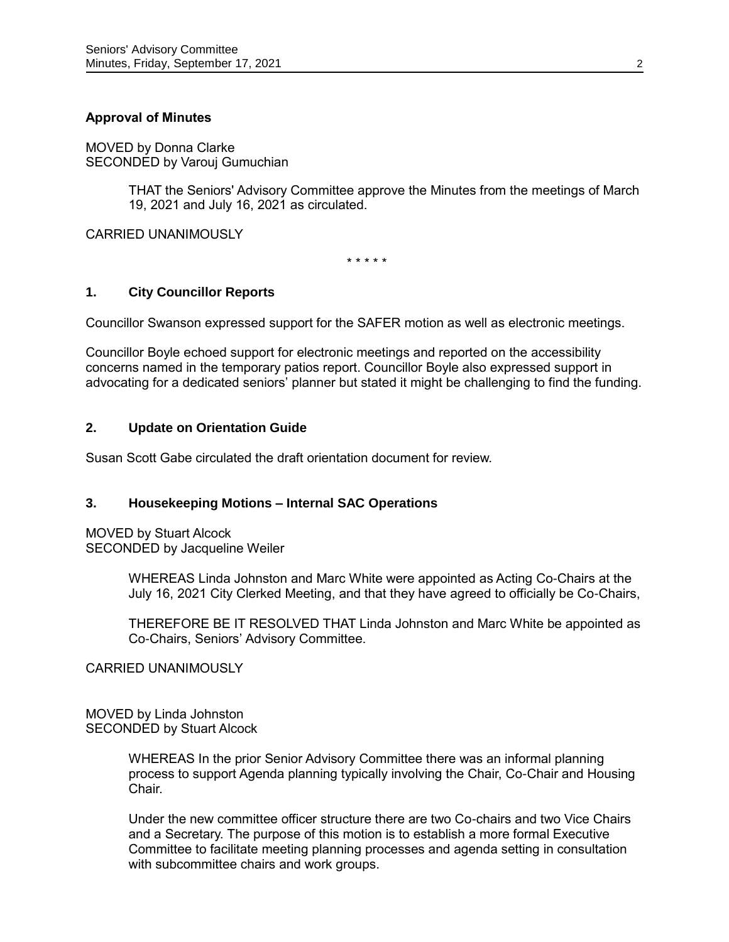# **Approval of Minutes**

MOVED by Donna Clarke SECONDED by Varouj Gumuchian

> THAT the Seniors' Advisory Committee approve the Minutes from the meetings of March 19, 2021 and July 16, 2021 as circulated.

CARRIED UNANIMOUSLY

\* \* \* \* \*

### **1. City Councillor Reports**

Councillor Swanson expressed support for the SAFER motion as well as electronic meetings.

Councillor Boyle echoed support for electronic meetings and reported on the accessibility concerns named in the temporary patios report. Councillor Boyle also expressed support in advocating for a dedicated seniors' planner but stated it might be challenging to find the funding.

# **2. Update on Orientation Guide**

Susan Scott Gabe circulated the draft orientation document for review.

# **3. Housekeeping Motions – Internal SAC Operations**

MOVED by Stuart Alcock SECONDED by Jacqueline Weiler

> WHEREAS Linda Johnston and Marc White were appointed as Acting Co-Chairs at the July 16, 2021 City Clerked Meeting, and that they have agreed to officially be Co-Chairs,

> THEREFORE BE IT RESOLVED THAT Linda Johnston and Marc White be appointed as Co-Chairs, Seniors' Advisory Committee.

CARRIED UNANIMOUSLY

MOVED by Linda Johnston SECONDED by Stuart Alcock

> WHEREAS In the prior Senior Advisory Committee there was an informal planning process to support Agenda planning typically involving the Chair, Co-Chair and Housing Chair.

> Under the new committee officer structure there are two Co-chairs and two Vice Chairs and a Secretary. The purpose of this motion is to establish a more formal Executive Committee to facilitate meeting planning processes and agenda setting in consultation with subcommittee chairs and work groups.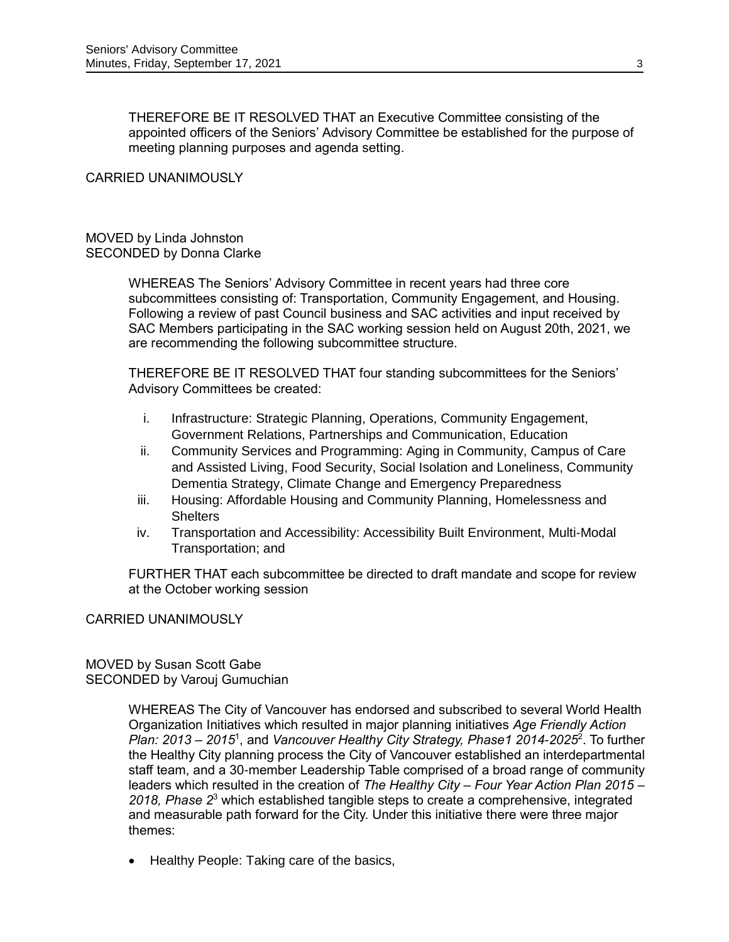THEREFORE BE IT RESOLVED THAT an Executive Committee consisting of the appointed officers of the Seniors' Advisory Committee be established for the purpose of meeting planning purposes and agenda setting.

#### CARRIED UNANIMOUSLY

#### MOVED by Linda Johnston SECONDED by Donna Clarke

WHEREAS The Seniors' Advisory Committee in recent years had three core subcommittees consisting of: Transportation, Community Engagement, and Housing. Following a review of past Council business and SAC activities and input received by SAC Members participating in the SAC working session held on August 20th, 2021, we are recommending the following subcommittee structure.

THEREFORE BE IT RESOLVED THAT four standing subcommittees for the Seniors' Advisory Committees be created:

- i. Infrastructure: Strategic Planning, Operations, Community Engagement, Government Relations, Partnerships and Communication, Education
- ii. Community Services and Programming: Aging in Community, Campus of Care and Assisted Living, Food Security, Social Isolation and Loneliness, Community Dementia Strategy, Climate Change and Emergency Preparedness
- iii. Housing: Affordable Housing and Community Planning, Homelessness and **Shelters**
- iv. Transportation and Accessibility: Accessibility Built Environment, Multi-Modal Transportation; and

FURTHER THAT each subcommittee be directed to draft mandate and scope for review at the October working session

#### CARRIED UNANIMOUSLY

#### MOVED by Susan Scott Gabe SECONDED by Varouj Gumuchian

WHEREAS The City of Vancouver has endorsed and subscribed to several World Health Organization Initiatives which resulted in major planning initiatives *Age Friendly Action Plan: 2013 – 2015*<sup>1</sup> , and *Vancouver Healthy City Strategy, Phase1 2014-2025*<sup>2</sup> . To further the Healthy City planning process the City of Vancouver established an interdepartmental staff team, and a 30-member Leadership Table comprised of a broad range of community leaders which resulted in the creation of *The Healthy City – Four Year Action Plan 2015 – 2018, Phase 2*<sup>3</sup> which established tangible steps to create a comprehensive, integrated and measurable path forward for the City. Under this initiative there were three major themes:

• Healthy People: Taking care of the basics,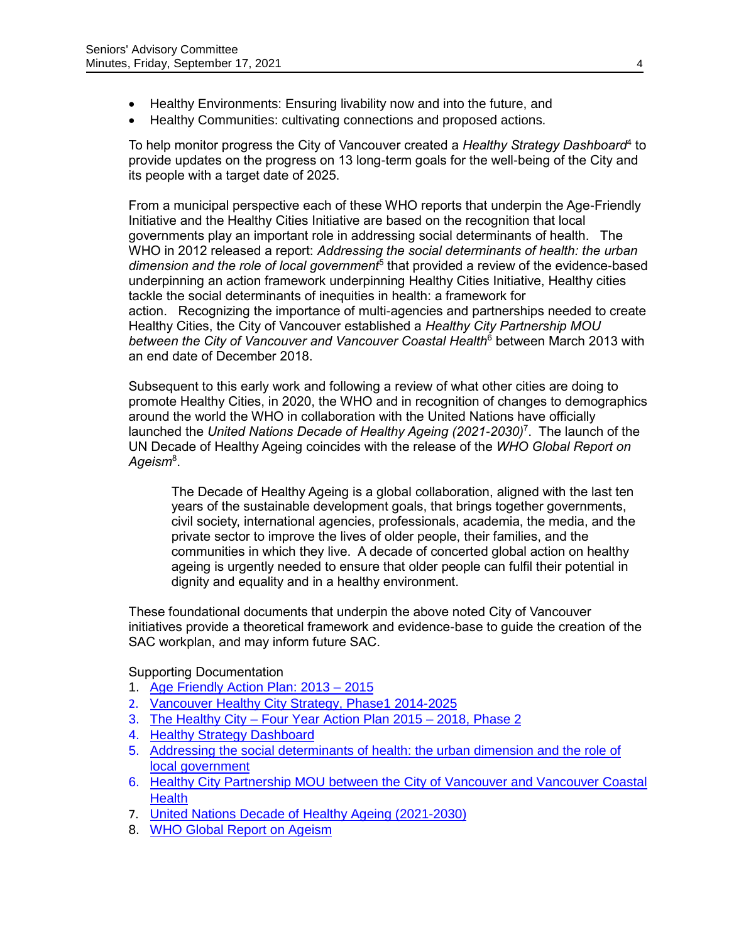- Healthy Environments: Ensuring livability now and into the future, and
- Healthy Communities: cultivating connections and proposed actions.

To help monitor progress the City of Vancouver created a *Healthy Strategy Dashboard*<sup>4</sup> to provide updates on the progress on 13 long-term goals for the well-being of the City and its people with a target date of 2025.

From a municipal perspective each of these WHO reports that underpin the Age-Friendly Initiative and the Healthy Cities Initiative are based on the recognition that local governments play an important role in addressing social determinants of health. The WHO in 2012 released a report: *Addressing the social determinants of health: the urban*  dimension and the role of local government<sup>5</sup> that provided a review of the evidence-based underpinning an action framework underpinning Healthy Cities Initiative, Healthy cities tackle the social determinants of inequities in health: a framework for action. Recognizing the importance of multi-agencies and partnerships needed to create Healthy Cities, the City of Vancouver established a *Healthy City Partnership MOU between the City of Vancouver and Vancouver Coastal Health*<sup>6</sup> between March 2013 with an end date of December 2018.

Subsequent to this early work and following a review of what other cities are doing to promote Healthy Cities, in 2020, the WHO and in recognition of changes to demographics around the world the WHO in collaboration with the United Nations have officially launched the *United Nations Decade of Healthy Ageing (2021-2030)*<sup>7</sup> . The launch of the UN Decade of Healthy Ageing coincides with the release of the *WHO Global Report on Ageism*<sup>8</sup> .

The Decade of Healthy Ageing is a global collaboration, aligned with the last ten years of the sustainable development goals, that brings together governments, civil society, international agencies, professionals, academia, the media, and the private sector to improve the lives of older people, their families, and the communities in which they live. A decade of concerted global action on healthy ageing is urgently needed to ensure that older people can fulfil their potential in dignity and equality and in a healthy environment.

These foundational documents that underpin the above noted City of Vancouver initiatives provide a theoretical framework and evidence-base to guide the creation of the SAC workplan, and may inform future SAC.

Supporting Documentation

- 1. [Age Friendly Action Plan: 2013 –](https://vancouver.ca/files/cov/age-friendly-action-plan.pdf) 2015
- 2. [Vancouver Healthy City Strategy, Phase1 2014-2025](https://council.vancouver.ca/20141029/documents/ptec1_appendix_a_final.pdf)
- 3. The Healthy City [Four Year Action Plan 2015 –](https://vancouver.ca/files/cov/Healthy-City-Strategy-Phase-2-Action-Plan-2015-2018.pdf) 2018, Phase 2
- 4. [Healthy Strategy Dashboard](https://opendata.vancouver.ca/pages/healthy-city-dashboard/)
- 5. [Addressing the social determinants of health: the urban dimension and the role of](https://www.euro.who.int/__data/assets/pdf_file/0005/166136/UrbanDimensions.pdf)  [local government](https://www.euro.who.int/__data/assets/pdf_file/0005/166136/UrbanDimensions.pdf)
- 6. [Healthy City Partnership MOU between the City of Vancouver and Vancouver Coastal](https://vancouver.ca/files/cov/MOU-Healthy-City-Strategy-March-2013.pdf)  **[Health](https://vancouver.ca/files/cov/MOU-Healthy-City-Strategy-March-2013.pdf)**
- 7. [United Nations Decade of Healthy Ageing \(2021-2030\)](https://cdn.who.int/media/docs/default-source/decade-of-healthy-ageing/final-decade-proposal/decade-proposal-final-apr2020-en.pdf?sfvrsn=b4b75ebc_25&download=true)
- 8. [WHO Global Report on Ageism](https://www.who.int/teams/social-determinants-of-health/demographic-change-and-healthy-ageing/combatting-ageism/global-report-on-ageism)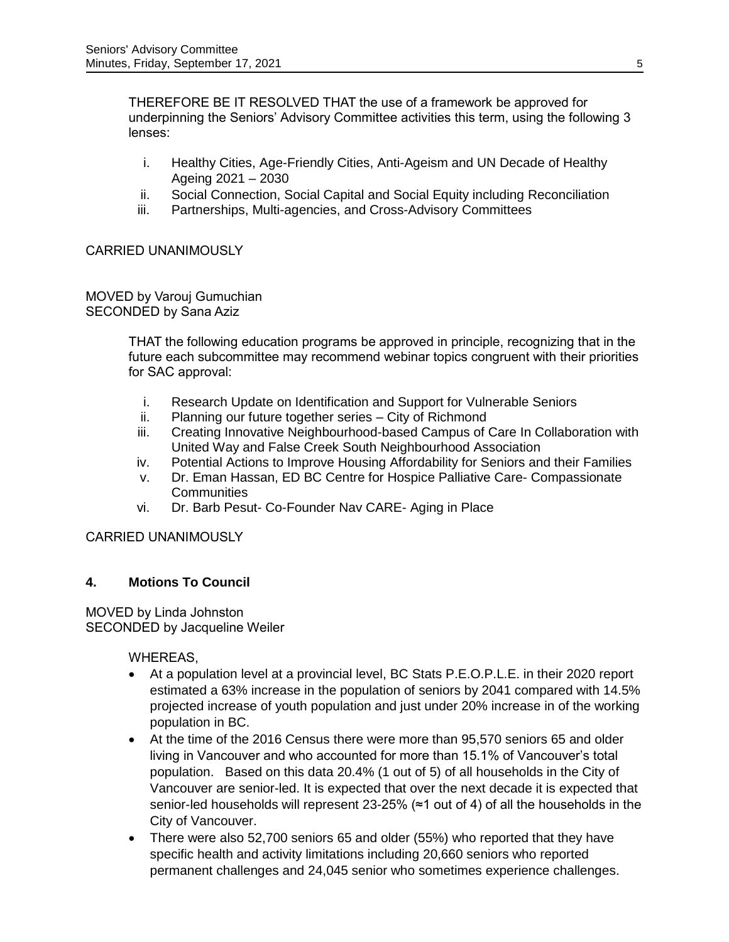THEREFORE BE IT RESOLVED THAT the use of a framework be approved for underpinning the Seniors' Advisory Committee activities this term, using the following 3 lenses:

- i. Healthy Cities, Age-Friendly Cities, Anti-Ageism and UN Decade of Healthy Ageing 2021 – 2030
- ii. Social Connection, Social Capital and Social Equity including Reconciliation
- iii. Partnerships, Multi-agencies, and Cross-Advisory Committees

# CARRIED UNANIMOUSLY

MOVED by Varouj Gumuchian SECONDED by Sana Aziz

> THAT the following education programs be approved in principle, recognizing that in the future each subcommittee may recommend webinar topics congruent with their priorities for SAC approval:

- i. Research Update on Identification and Support for Vulnerable Seniors
- ii. Planning our future together series City of Richmond
- iii. Creating Innovative Neighbourhood-based Campus of Care In Collaboration with United Way and False Creek South Neighbourhood Association
- iv. Potential Actions to Improve Housing Affordability for Seniors and their Families
- v. Dr. Eman Hassan, ED BC Centre for Hospice Palliative Care- Compassionate **Communities**
- vi. Dr. Barb Pesut- Co-Founder Nav CARE- Aging in Place

# CARRIED UNANIMOUSLY

# **4. Motions To Council**

MOVED by Linda Johnston SECONDED by Jacqueline Weiler

WHEREAS,

- At a population level at a provincial level, BC Stats P.E.O.P.L.E. in their 2020 report estimated a 63% increase in the population of seniors by 2041 compared with 14.5% projected increase of youth population and just under 20% increase in of the working population in BC.
- At the time of the 2016 Census there were more than 95,570 seniors 65 and older living in Vancouver and who accounted for more than 15.1% of Vancouver's total population. Based on this data 20.4% (1 out of 5) of all households in the City of Vancouver are senior-led. It is expected that over the next decade it is expected that senior-led households will represent 23-25% (≈1 out of 4) of all the households in the City of Vancouver.
- There were also 52,700 seniors 65 and older (55%) who reported that they have specific health and activity limitations including 20,660 seniors who reported permanent challenges and 24,045 senior who sometimes experience challenges.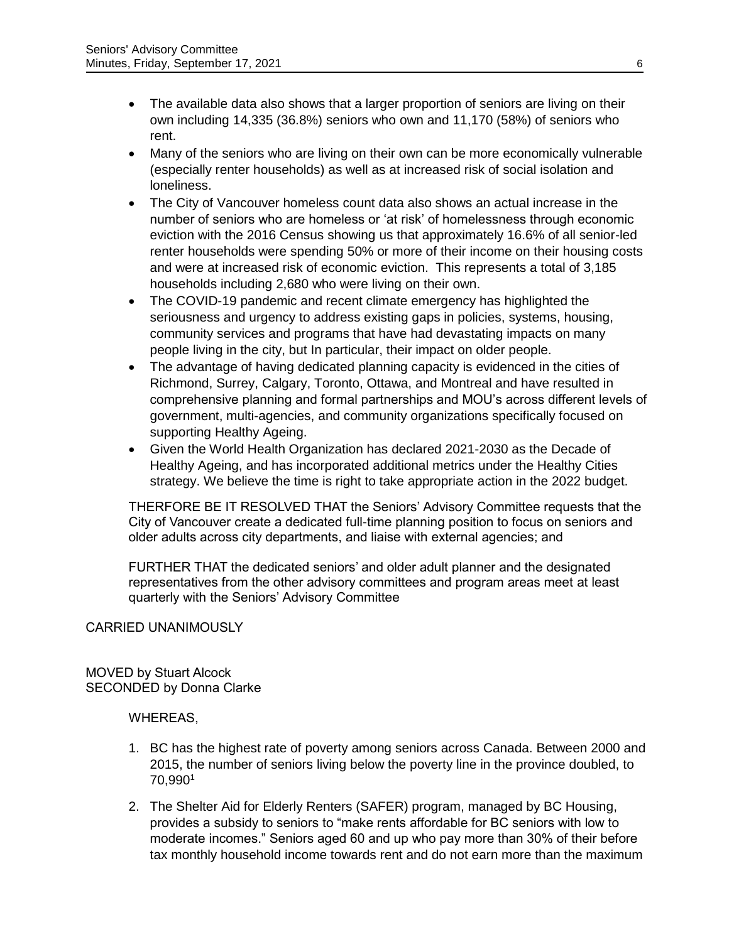- The available data also shows that a larger proportion of seniors are living on their own including 14,335 (36.8%) seniors who own and 11,170 (58%) of seniors who rent.
- Many of the seniors who are living on their own can be more economically vulnerable (especially renter households) as well as at increased risk of social isolation and loneliness.
- The City of Vancouver homeless count data also shows an actual increase in the number of seniors who are homeless or 'at risk' of homelessness through economic eviction with the 2016 Census showing us that approximately 16.6% of all senior-led renter households were spending 50% or more of their income on their housing costs and were at increased risk of economic eviction. This represents a total of 3,185 households including 2,680 who were living on their own.
- The COVID-19 pandemic and recent climate emergency has highlighted the seriousness and urgency to address existing gaps in policies, systems, housing, community services and programs that have had devastating impacts on many people living in the city, but In particular, their impact on older people.
- The advantage of having dedicated planning capacity is evidenced in the cities of Richmond, Surrey, Calgary, Toronto, Ottawa, and Montreal and have resulted in comprehensive planning and formal partnerships and MOU's across different levels of government, multi-agencies, and community organizations specifically focused on supporting Healthy Ageing.
- Given the World Health Organization has declared 2021-2030 as the Decade of Healthy Ageing, and has incorporated additional metrics under the Healthy Cities strategy. We believe the time is right to take appropriate action in the 2022 budget.

THERFORE BE IT RESOLVED THAT the Seniors' Advisory Committee requests that the City of Vancouver create a dedicated full-time planning position to focus on seniors and older adults across city departments, and liaise with external agencies; and

FURTHER THAT the dedicated seniors' and older adult planner and the designated representatives from the other advisory committees and program areas meet at least quarterly with the Seniors' Advisory Committee

# CARRIED UNANIMOUSLY

MOVED by Stuart Alcock SECONDED by Donna Clarke

# WHEREAS,

- 1. BC has the highest rate of poverty among seniors across Canada. Between 2000 and 2015, the number of seniors living below the poverty line in the province doubled, to 70,990<sup>1</sup>
- 2. The Shelter Aid for Elderly Renters (SAFER) program, managed by BC Housing, provides a subsidy to seniors to "make rents affordable for BC seniors with low to moderate incomes." Seniors aged 60 and up who pay more than 30% of their before tax monthly household income towards rent and do not earn more than the maximum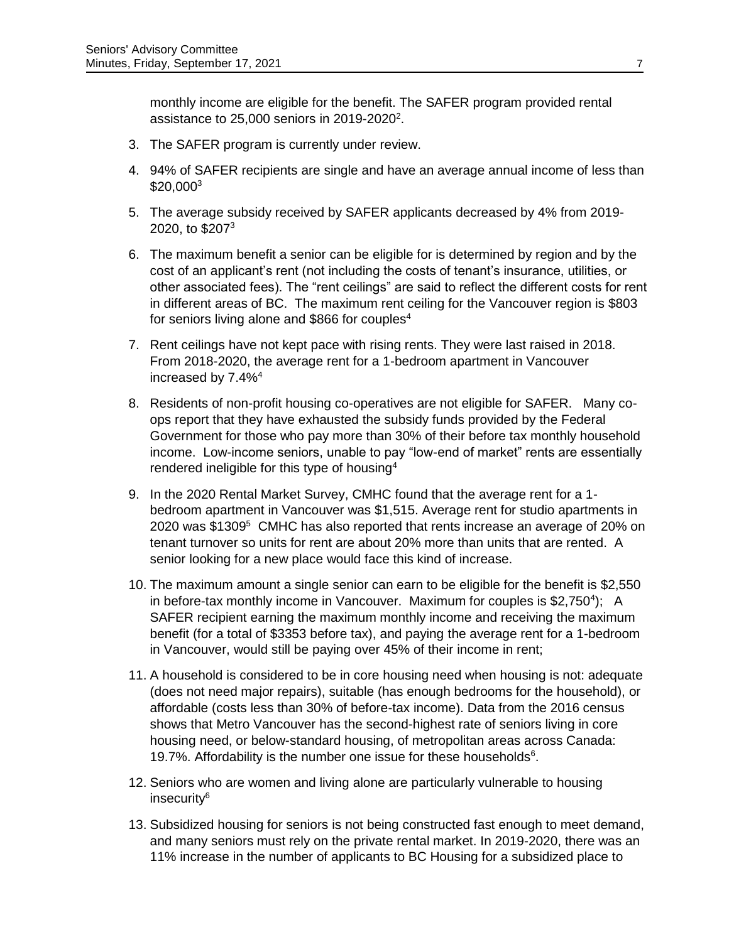monthly income are eligible for the benefit. The SAFER program provided rental assistance to 25,000 seniors in 2019-2020<sup>2</sup>.

- 3. The SAFER program is currently under review.
- 4. 94% of SAFER recipients are single and have an average annual income of less than \$20,000<sup>3</sup>
- 5. The average subsidy received by SAFER applicants decreased by 4% from 2019- 2020, to \$207<sup>3</sup>
- 6. The maximum benefit a senior can be eligible for is determined by region and by the cost of an applicant's rent (not including the costs of tenant's insurance, utilities, or other associated fees). The "rent ceilings" are said to reflect the different costs for rent in different areas of BC. The maximum rent ceiling for the Vancouver region is \$803 for seniors living alone and \$866 for couples $4$
- 7. Rent ceilings have not kept pace with rising rents. They were last raised in 2018. From 2018-2020, the average rent for a 1-bedroom apartment in Vancouver increased by 7.4%<sup>4</sup>
- 8. Residents of non-profit housing co-operatives are not eligible for SAFER. Many coops report that they have exhausted the subsidy funds provided by the Federal Government for those who pay more than 30% of their before tax monthly household income. Low-income seniors, unable to pay "low-end of market" rents are essentially rendered ineligible for this type of housing $4$
- 9. In the 2020 Rental Market Survey, CMHC found that the average rent for a 1 bedroom apartment in Vancouver was \$1,515. Average rent for studio apartments in 2020 was  $$1309<sup>5</sup>$  CMHC has also reported that rents increase an average of 20% on tenant turnover so units for rent are about 20% more than units that are rented. A senior looking for a new place would face this kind of increase.
- 10. The maximum amount a single senior can earn to be eligible for the benefit is \$2,550 in before-tax monthly income in Vancouver. Maximum for couples is \$2,750<sup>4</sup>); A SAFER recipient earning the maximum monthly income and receiving the maximum benefit (for a total of \$3353 before tax), and paying the average rent for a 1-bedroom in Vancouver, would still be paying over 45% of their income in rent;
- 11. A household is considered to be in core housing need when housing is not: adequate (does not need major repairs), suitable (has enough bedrooms for the household), or affordable (costs less than 30% of before-tax income). Data from the 2016 census shows that Metro Vancouver has the second-highest rate of seniors living in core housing need, or below-standard housing, of metropolitan areas across Canada: 19.7%. Affordability is the number one issue for these households $6$ .
- 12. Seniors who are women and living alone are particularly vulnerable to housing insecurity<sup>6</sup>
- 13. Subsidized housing for seniors is not being constructed fast enough to meet demand, and many seniors must rely on the private rental market. In 2019-2020, there was an 11% increase in the number of applicants to BC Housing for a subsidized place to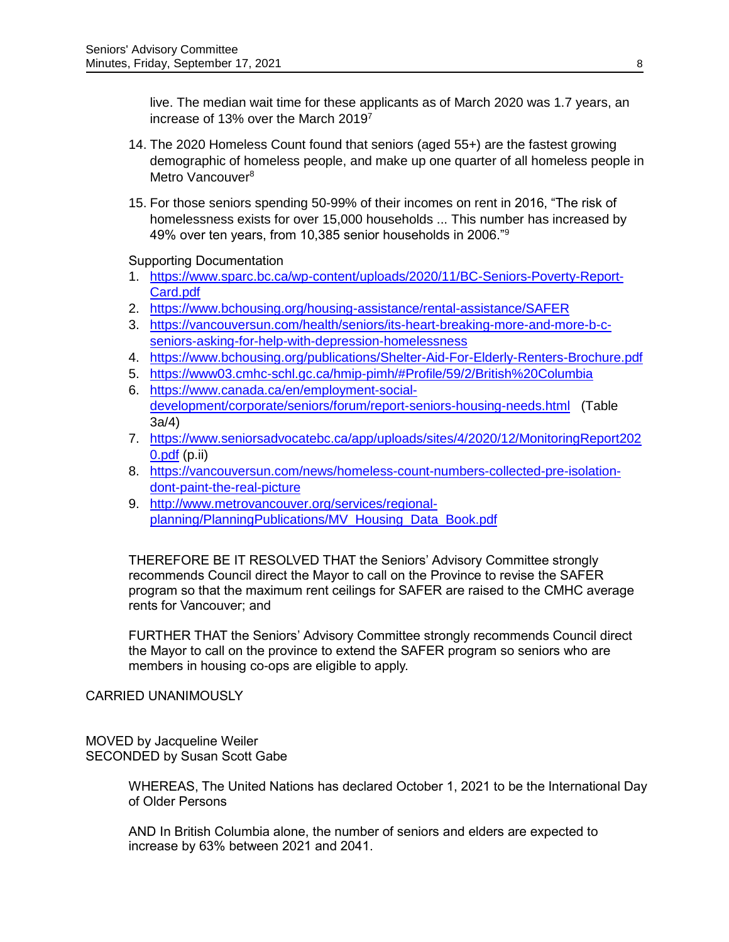live. The median wait time for these applicants as of March 2020 was 1.7 years, an increase of 13% over the March 2019<sup>7</sup>

- 14. The 2020 Homeless Count found that seniors (aged 55+) are the fastest growing demographic of homeless people, and make up one quarter of all homeless people in Metro Vancouver<sup>8</sup>
- 15. For those seniors spending 50-99% of their incomes on rent in 2016, "The risk of homelessness exists for over 15,000 households ... This number has increased by 49% over ten years, from 10,385 senior households in 2006."<sup>9</sup>

Supporting Documentation

- 1. [https://www.sparc.bc.ca/wp-content/uploads/2020/11/BC-Seniors-Poverty-Report-](https://www.sparc.bc.ca/wp-content/uploads/2020/11/BC-Seniors-Poverty-Report-Card.pdf)[Card.pdf](https://www.sparc.bc.ca/wp-content/uploads/2020/11/BC-Seniors-Poverty-Report-Card.pdf)
- 2. <https://www.bchousing.org/housing-assistance/rental-assistance/SAFER>
- 3. [https://vancouversun.com/health/seniors/its-heart-breaking-more-and-more-b-c](https://vancouversun.com/health/seniors/its-heart-breaking-more-and-more-b-c-seniors-asking-for-help-with-depression-homelessness)[seniors-asking-for-help-with-depression-homelessness](https://vancouversun.com/health/seniors/its-heart-breaking-more-and-more-b-c-seniors-asking-for-help-with-depression-homelessness)
- 4. <https://www.bchousing.org/publications/Shelter-Aid-For-Elderly-Renters-Brochure.pdf>
- 5. <https://www03.cmhc-schl.gc.ca/hmip-pimh/#Profile/59/2/British%20Columbia>
- 6. [https://www.canada.ca/en/employment-social](https://www.canada.ca/en/employment-social-development/corporate/seniors/forum/report-seniors-housing-needs.html)[development/corporate/seniors/forum/report-seniors-housing-needs.html](https://www.canada.ca/en/employment-social-development/corporate/seniors/forum/report-seniors-housing-needs.html) (Table 3a/4)
- 7. [https://www.seniorsadvocatebc.ca/app/uploads/sites/4/2020/12/MonitoringReport202](https://www.seniorsadvocatebc.ca/app/uploads/sites/4/2020/12/MonitoringReport2020.pdf) [0.pdf](https://www.seniorsadvocatebc.ca/app/uploads/sites/4/2020/12/MonitoringReport2020.pdf) (p.ii)
- 8. [https://vancouversun.com/news/homeless-count-numbers-collected-pre-isolation](https://vancouversun.com/news/homeless-count-numbers-collected-pre-isolation-dont-paint-the-real-picture)[dont-paint-the-real-picture](https://vancouversun.com/news/homeless-count-numbers-collected-pre-isolation-dont-paint-the-real-picture)
- 9. [http://www.metrovancouver.org/services/regional](http://www.metrovancouver.org/services/regional-planning/PlanningPublications/MV_Housing_Data_Book.pdf)[planning/PlanningPublications/MV\\_Housing\\_Data\\_Book.pdf](http://www.metrovancouver.org/services/regional-planning/PlanningPublications/MV_Housing_Data_Book.pdf)

THEREFORE BE IT RESOLVED THAT the Seniors' Advisory Committee strongly recommends Council direct the Mayor to call on the Province to revise the SAFER program so that the maximum rent ceilings for SAFER are raised to the CMHC average rents for Vancouver; and

FURTHER THAT the Seniors' Advisory Committee strongly recommends Council direct the Mayor to call on the province to extend the SAFER program so seniors who are members in housing co-ops are eligible to apply.

CARRIED UNANIMOUSLY

MOVED by Jacqueline Weiler SECONDED by Susan Scott Gabe

> WHEREAS, The United Nations has declared October 1, 2021 to be the International Day of Older Persons

AND In British Columbia alone, the number of seniors and elders are expected to increase by 63% between 2021 and 2041.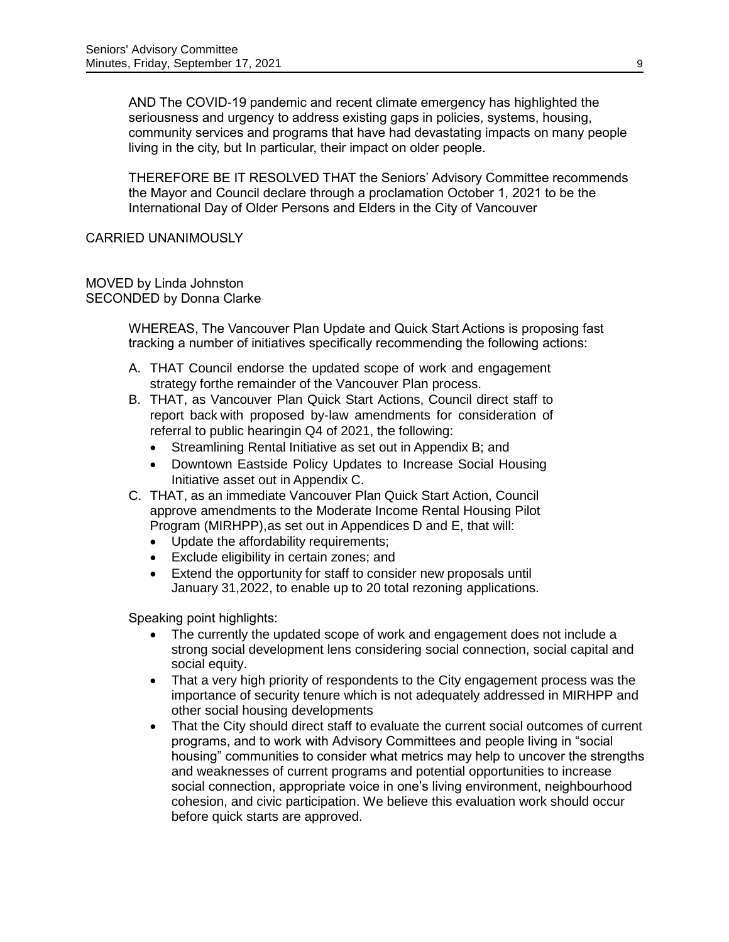AND The COVID-19 pandemic and recent climate emergency has highlighted the seriousness and urgency to address existing gaps in policies, systems, housing, community services and programs that have had devastating impacts on many people living in the city, but In particular, their impact on older people.

THEREFORE BE IT RESOLVED THAT the Seniors' Advisory Committee recommends the Mayor and Council declare through a proclamation October 1, 2021 to be the International Day of Older Persons and Elders in the City of Vancouver

### CARRIED UNANIMOUSLY

#### MOVED by Linda Johnston SECONDED by Donna Clarke

WHEREAS, The Vancouver Plan Update and Quick Start Actions is proposing fast tracking a number of initiatives specifically recommending the following actions:

- A. THAT Council endorse the updated scope of work and engagement strategy forthe remainder of the Vancouver Plan process.
- B. THAT, as Vancouver Plan Quick Start Actions, Council direct staff to report back with proposed by-law amendments for consideration of referral to public hearingin Q4 of 2021, the following:
	- Streamlining Rental Initiative as set out in Appendix B; and
	- Downtown Eastside Policy Updates to Increase Social Housing Initiative asset out in Appendix C.
- C. THAT, as an immediate Vancouver Plan Quick Start Action, Council approve amendments to the Moderate Income Rental Housing Pilot Program (MIRHPP),as set out in Appendices D and E, that will:
	- Update the affordability requirements;
	- Exclude eligibility in certain zones; and
	- Extend the opportunity for staff to consider new proposals until January 31,2022, to enable up to 20 total rezoning applications.

Speaking point highlights:

- The currently the updated scope of work and engagement does not include a strong social development lens considering social connection, social capital and social equity.
- That a very high priority of respondents to the City engagement process was the importance of security tenure which is not adequately addressed in MIRHPP and other social housing developments
- That the City should direct staff to evaluate the current social outcomes of current programs, and to work with Advisory Committees and people living in "social housing" communities to consider what metrics may help to uncover the strengths and weaknesses of current programs and potential opportunities to increase social connection, appropriate voice in one's living environment, neighbourhood cohesion, and civic participation. We believe this evaluation work should occur before quick starts are approved.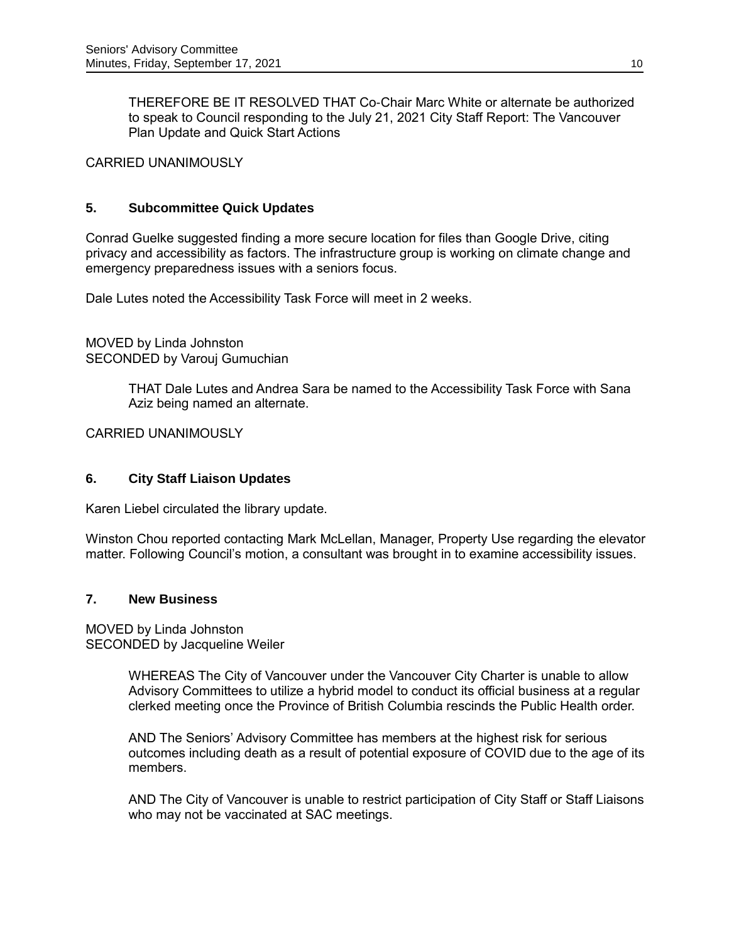THEREFORE BE IT RESOLVED THAT Co-Chair Marc White or alternate be authorized to speak to Council responding to the July 21, 2021 City Staff Report: The Vancouver Plan Update and Quick Start Actions

CARRIED UNANIMOUSLY

### **5. Subcommittee Quick Updates**

Conrad Guelke suggested finding a more secure location for files than Google Drive, citing privacy and accessibility as factors. The infrastructure group is working on climate change and emergency preparedness issues with a seniors focus.

Dale Lutes noted the Accessibility Task Force will meet in 2 weeks.

MOVED by Linda Johnston SECONDED by Varouj Gumuchian

> THAT Dale Lutes and Andrea Sara be named to the Accessibility Task Force with Sana Aziz being named an alternate.

CARRIED UNANIMOUSLY

# **6. City Staff Liaison Updates**

Karen Liebel circulated the library update.

Winston Chou reported contacting Mark McLellan, Manager, Property Use regarding the elevator matter. Following Council's motion, a consultant was brought in to examine accessibility issues.

#### **7. New Business**

MOVED by Linda Johnston SECONDED by Jacqueline Weiler

> WHEREAS The City of Vancouver under the Vancouver City Charter is unable to allow Advisory Committees to utilize a hybrid model to conduct its official business at a regular clerked meeting once the Province of British Columbia rescinds the Public Health order.

> AND The Seniors' Advisory Committee has members at the highest risk for serious outcomes including death as a result of potential exposure of COVID due to the age of its members.

> AND The City of Vancouver is unable to restrict participation of City Staff or Staff Liaisons who may not be vaccinated at SAC meetings.